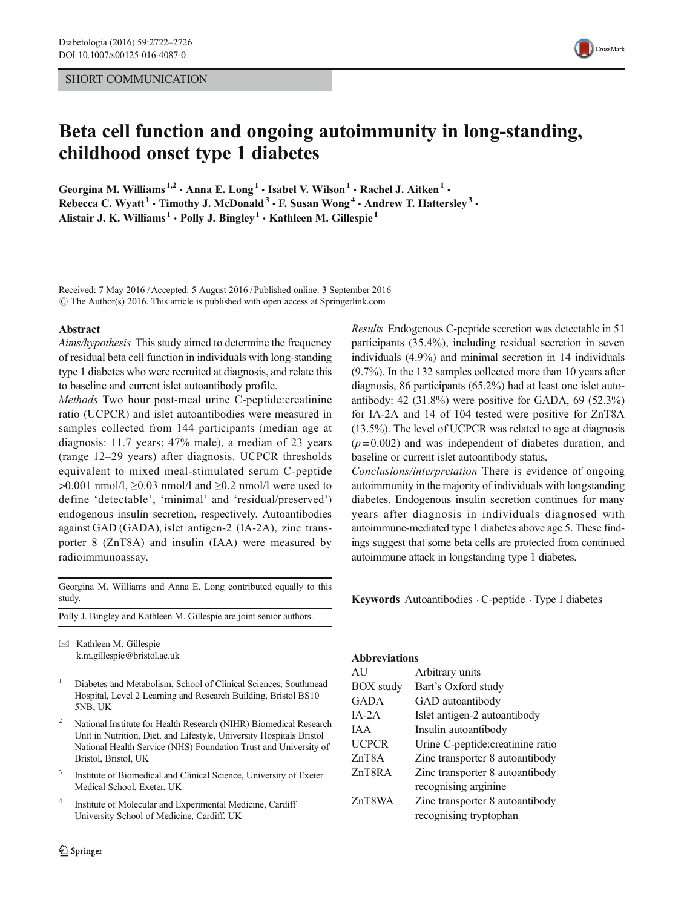## SHORT COMMUNICATION



# Beta cell function and ongoing autoimmunity in long-standing, childhood onset type 1 diabetes

Georgina M. Williams<sup>1,2</sup>  $\cdot$  Anna E. Long<sup>1</sup>  $\cdot$  Isabel V. Wilson<sup>1</sup>  $\cdot$  Rachel J. Aitken<sup>1</sup>  $\cdot$ Rebecca C. Wyatt<sup>1</sup> • Timothy J. McDonald<sup>3</sup> • F. Susan Wong<sup>4</sup> • Andrew T. Hattersley<sup>3</sup> • Alistair J. K. Williams<sup>1</sup> • Polly J. Bingley<sup>1</sup> • Kathleen M. Gillespie<sup>1</sup>

Received: 7 May 2016 /Accepted: 5 August 2016 /Published online: 3 September 2016  $\odot$  The Author(s) 2016. This article is published with open access at Springerlink.com

#### Abstract

Aims/hypothesis This study aimed to determine the frequency of residual beta cell function in individuals with long-standing type 1 diabetes who were recruited at diagnosis, and relate this to baseline and current islet autoantibody profile.

Methods Two hour post-meal urine C-peptide:creatinine ratio (UCPCR) and islet autoantibodies were measured in samples collected from 144 participants (median age at diagnosis:  $11.7$  years;  $47\%$  male), a median of 23 years (range 12–29 years) after diagnosis. UCPCR thresholds equivalent to mixed meal-stimulated serum C-peptide  $>0.001$  nmol/l,  $\geq 0.03$  nmol/l and  $\geq 0.2$  nmol/l were used to define 'detectable', 'minimal' and 'residual/preserved') endogenous insulin secretion, respectively. Autoantibodies against GAD (GADA), islet antigen-2 (IA-2A), zinc transporter 8 (ZnT8A) and insulin (IAA) were measured by radioimmunoassay.

Georgina M. Williams and Anna E. Long contributed equally to this study.

Polly J. Bingley and Kathleen M. Gillespie are joint senior authors.

 $\boxtimes$  Kathleen M. Gillespie k.m.gillespie@bristol.ac.uk

- <sup>1</sup> Diabetes and Metabolism, School of Clinical Sciences, Southmead Hospital, Level 2 Learning and Research Building, Bristol BS10 5NB, UK
- <sup>2</sup> National Institute for Health Research (NIHR) Biomedical Research Unit in Nutrition, Diet, and Lifestyle, University Hospitals Bristol National Health Service (NHS) Foundation Trust and University of Bristol, Bristol, UK
- <sup>3</sup> Institute of Biomedical and Clinical Science, University of Exeter Medical School, Exeter, UK
- <sup>4</sup> Institute of Molecular and Experimental Medicine, Cardiff University School of Medicine, Cardiff, UK

Results Endogenous C-peptide secretion was detectable in 51 participants (35.4%), including residual secretion in seven individuals (4.9%) and minimal secretion in 14 individuals  $(9.7\%)$ . In the 132 samples collected more than 10 years after diagnosis, 86 participants  $(65.2\%)$  had at least one islet autoantibody: 42  $(31.8\%)$  were positive for GADA, 69  $(52.3\%)$ for IA-2A and 14 of 104 tested were positive for ZnT8A  $(13.5\%)$ . The level of UCPCR was related to age at diagnosis  $(p=0.002)$  and was independent of diabetes duration, and baseline or current islet autoantibody status.

Conclusions/interpretation There is evidence of ongoing autoimmunity in the majority of individuals with longstanding diabetes. Endogenous insulin secretion continues for many years after diagnosis in individuals diagnosed with autoimmune-mediated type 1 diabetes above age 5. These findings suggest that some beta cells are protected from continued autoimmune attack in longstanding type 1 diabetes.

Keywords Autoantibodies . C-peptide . Type 1 diabetes

# Abbreviations

| AU               | Arbitrary units                   |  |
|------------------|-----------------------------------|--|
| <b>BOX</b> study | Bart's Oxford study               |  |
| GADA             | GAD autoantibody                  |  |
| $IA-2A$          | Islet antigen-2 autoantibody      |  |
| I A A            | Insulin autoantibody              |  |
| <b>UCPCR</b>     | Urine C-peptide: creatinine ratio |  |
| ZnT8A            | Zinc transporter 8 autoantibody   |  |
| ZnT8RA           | Zinc transporter 8 autoantibody   |  |
|                  | recognising arginine              |  |
| ZnT8WA           | Zinc transporter 8 autoantibody   |  |
|                  | recognising tryptophan            |  |
|                  |                                   |  |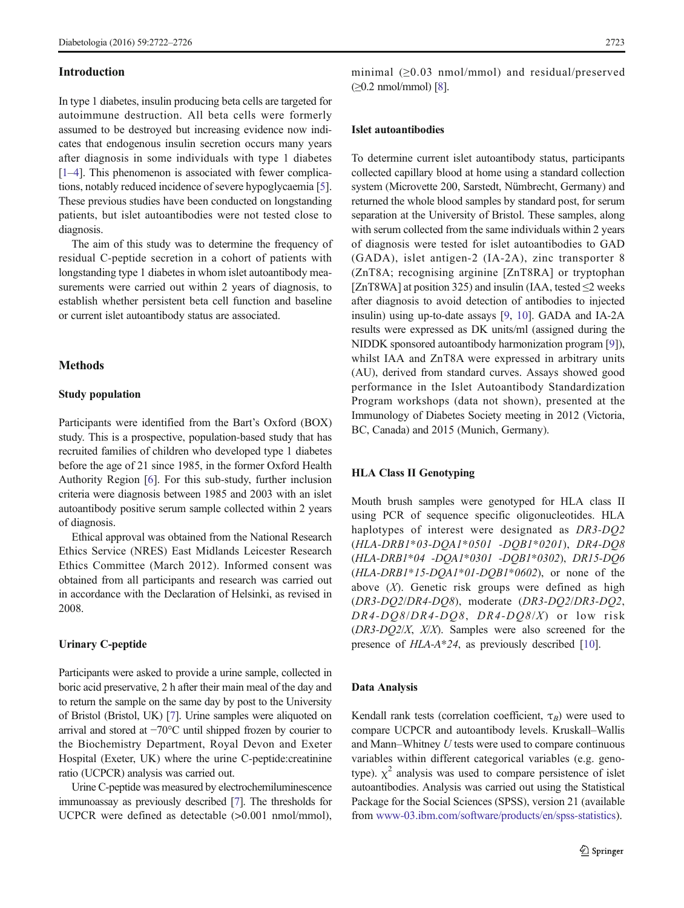#### Introduction

In type 1 diabetes, insulin producing beta cells are targeted for autoimmune destruction. All beta cells were formerly assumed to be destroyed but increasing evidence now indicates that endogenous insulin secretion occurs many years after diagnosis in some individuals with type 1 diabetes [\[1](#page-4-0)–[4\]](#page-4-0). This phenomenon is associated with fewer complications, notably reduced incidence of severe hypoglycaemia [[5\]](#page-4-0). These previous studies have been conducted on longstanding patients, but islet autoantibodies were not tested close to diagnosis.

The aim of this study was to determine the frequency of residual C-peptide secretion in a cohort of patients with longstanding type 1 diabetes in whom islet autoantibody measurements were carried out within 2 years of diagnosis, to establish whether persistent beta cell function and baseline or current islet autoantibody status are associated.

## **Methods**

## Study population

Participants were identified from the Bart's Oxford (BOX) study. This is a prospective, population-based study that has recruited families of children who developed type 1 diabetes before the age of 21 since 1985, in the former Oxford Health Authority Region [[6\]](#page-4-0). For this sub-study, further inclusion criteria were diagnosis between 1985 and 2003 with an islet autoantibody positive serum sample collected within 2 years of diagnosis.

Ethical approval was obtained from the National Research Ethics Service (NRES) East Midlands Leicester Research Ethics Committee (March 2012). Informed consent was obtained from all participants and research was carried out in accordance with the Declaration of Helsinki, as revised in 2008.

## Urinary C-peptide

Participants were asked to provide a urine sample, collected in boric acid preservative, 2 h after their main meal of the day and to return the sample on the same day by post to the University of Bristol (Bristol, UK) [\[7\]](#page-4-0). Urine samples were aliquoted on arrival and stored at −70°C until shipped frozen by courier to the Biochemistry Department, Royal Devon and Exeter Hospital (Exeter, UK) where the urine C-peptide:creatinine ratio (UCPCR) analysis was carried out.

Urine C-peptide was measured by electrochemiluminescence immunoassay as previously described [\[7\]](#page-4-0). The thresholds for UCPCR were defined as detectable (>0.001 nmol/mmol), minimal (≥0.03 nmol/mmol) and residual/preserved  $(\geq 0.2 \text{ nmol/mmol})$  [\[8](#page-4-0)].

## Islet autoantibodies

To determine current islet autoantibody status, participants collected capillary blood at home using a standard collection system (Microvette 200, Sarstedt, Nümbrecht, Germany) and returned the whole blood samples by standard post, for serum separation at the University of Bristol. These samples, along with serum collected from the same individuals within 2 years of diagnosis were tested for islet autoantibodies to GAD (GADA), islet antigen-2 (IA-2A), zinc transporter 8 (ZnT8A; recognising arginine [ZnT8RA] or tryptophan [ZnT8WA] at position 325) and insulin (IAA, tested  $\leq$ 2 weeks after diagnosis to avoid detection of antibodies to injected insulin) using up-to-date assays [[9,](#page-4-0) [10\]](#page-4-0). GADA and IA-2A results were expressed as DK units/ml (assigned during the NIDDK sponsored autoantibody harmonization program [[9\]](#page-4-0)), whilst IAA and ZnT8A were expressed in arbitrary units (AU), derived from standard curves. Assays showed good performance in the Islet Autoantibody Standardization Program workshops (data not shown), presented at the Immunology of Diabetes Society meeting in 2012 (Victoria, BC, Canada) and 2015 (Munich, Germany).

#### HLA Class II Genotyping

Mouth brush samples were genotyped for HLA class II using PCR of sequence specific oligonucleotides. HLA haplotypes of interest were designated as DR3-DQ2 (HLA-DRB1\*03-DQA1\*0501 -DQB1\*0201), DR4-DQ8 (HLA-DRB1\*04 -DQA1\*0301 -DQB1\*0302), DR15-DQ6  $(HLA-DRB1*15-DQA1*01-DQB1*0602)$ , or none of the above  $(X)$ . Genetic risk groups were defined as high (DR3-DQ2/DR4-DQ8), moderate (DR3-DQ2/DR3-DQ2, DR4-DQ8/DR4-DQ8, DR4-DQ8/X) or low risk  $(DR3-DQ2/X, X/X)$ . Samples were also screened for the presence of HLA-A\*24, as previously described [\[10\]](#page-4-0).

#### Data Analysis

Kendall rank tests (correlation coefficient,  $\tau_B$ ) were used to compare UCPCR and autoantibody levels. Kruskall–Wallis and Mann–Whitney U tests were used to compare continuous variables within different categorical variables (e.g. genotype).  $\chi^2$  analysis was used to compare persistence of islet autoantibodies. Analysis was carried out using the Statistical Package for the Social Sciences (SPSS), version 21 (available from [www-03.ibm.com/software/products/en/spss-statistics](http://www-03.ibm.com/software/products/en/spss-statistics)).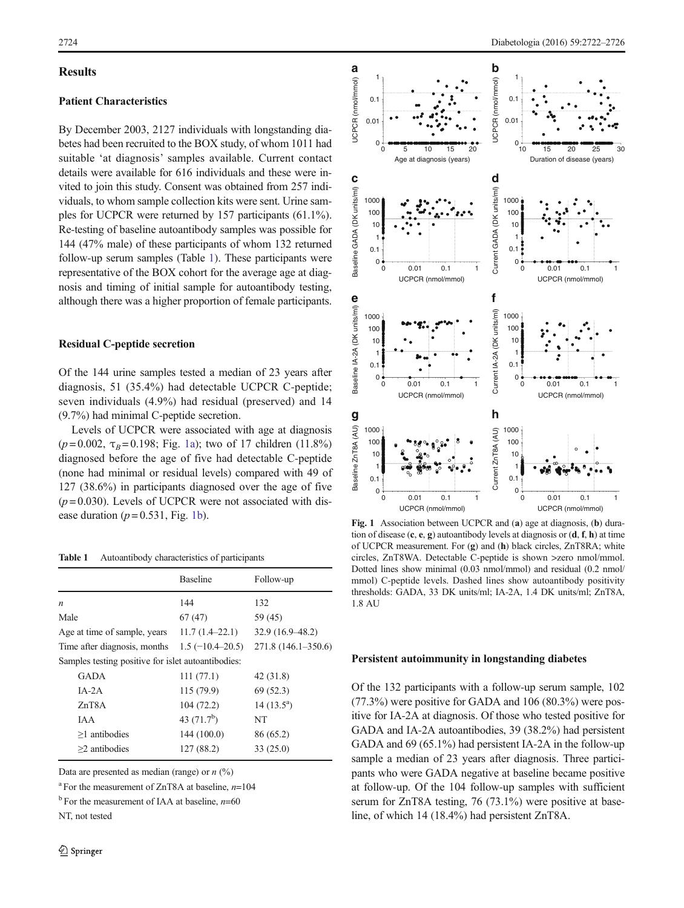## <span id="page-2-0"></span>**Results**

# Patient Characteristics

By December 2003, 2127 individuals with longstanding diabetes had been recruited to the BOX study, of whom 1011 had suitable 'at diagnosis' samples available. Current contact details were available for 616 individuals and these were invited to join this study. Consent was obtained from 257 individuals, to whom sample collection kits were sent. Urine samples for UCPCR were returned by 157 participants  $(61.1\%)$ . Re-testing of baseline autoantibody samples was possible for 144 (47% male) of these participants of whom 132 returned follow-up serum samples (Table 1). These participants were representative of the BOX cohort for the average age at diagnosis and timing of initial sample for autoantibody testing, although there was a higher proportion of female participants.

### Residual C-peptide secretion

Of the 144 urine samples tested a median of 23 years after diagnosis,  $51$  (35.4%) had detectable UCPCR C-peptide; seven individuals (4.9%) had residual (preserved) and 14  $(9.7\%)$  had minimal C-peptide secretion.

Levels of UCPCR were associated with age at diagnosis ( $p = 0.002$ ,  $\tau_B = 0.198$ ; Fig. 1a); two of 17 children (11.8%) diagnosed before the age of five had detectable C-peptide (none had minimal or residual levels) compared with 49 of  $127$   $(38.6\%)$  in participants diagnosed over the age of five  $(p=0.030)$ . Levels of UCPCR were not associated with disease duration ( $p = 0.531$ , Fig. 1b).

Table 1 Autoantibody characteristics of participants

|                                                    | <b>Baseline</b>   | Follow-up              |  |  |
|----------------------------------------------------|-------------------|------------------------|--|--|
| $\boldsymbol{n}$                                   | 144               | 132                    |  |  |
| Male                                               | 67(47)            | 59 (45)                |  |  |
| Age at time of sample, years                       | $11.7(1.4-22.1)$  | $32.9(16.9 - 48.2)$    |  |  |
| Time after diagnosis, months                       | $1.5(-10.4-20.5)$ | $271.8(146.1 - 350.6)$ |  |  |
| Samples testing positive for islet autoantibodies: |                   |                        |  |  |
| GADA                                               | 111(77.1)         | 42 (31.8)              |  |  |
| $IA-2A$                                            | 115 (79.9)        | 69(52.3)               |  |  |
| ZnT8A                                              | 104(72.2)         | $14(13.5^a)$           |  |  |
| <b>IAA</b>                                         | 43 $(71.7b)$      | NT                     |  |  |
| $>1$ antibodies                                    | 144 (100.0)       | 86 (65.2)              |  |  |
| $>2$ antibodies                                    | 127 (88.2)        | 33(25.0)               |  |  |
|                                                    |                   |                        |  |  |

Data are presented as median (range) or  $n$  (%)

<sup>a</sup> For the measurement of ZnT8A at baseline,  $n=104$ 

 $b$  For the measurement of IAA at baseline,  $n=60$ 

NT, not tested



Fig. 1 Association between UCPCR and (a) age at diagnosis, (b) duration of disease  $(c, e, g)$  autoantibody levels at diagnosis or  $(d, f, h)$  at time of UCPCR measurement. For (g) and (h) black circles, ZnT8RA; white circles, ZnT8WA. Detectable C-peptide is shown >zero nmol/mmol. Dotted lines show minimal (0.03 nmol/mmol) and residual (0.2 nmol/ mmol) C-peptide levels. Dashed lines show autoantibody positivity thresholds: GADA, 33 DK units/ml; IA-2A, 1.4 DK units/ml; ZnT8A, 1.8 AU

#### Persistent autoimmunity in longstanding diabetes

Of the 132 participants with a follow-up serum sample, 102  $(77.3\%)$  were positive for GADA and 106  $(80.3\%)$  were positive for IA-2A at diagnosis. Of those who tested positive for GADA and IA-2A autoantibodies, 39 (38.2%) had persistent GADA and  $69(65.1\%)$  had persistent IA-2A in the follow-up sample a median of 23 years after diagnosis. Three participants who were GADA negative at baseline became positive at follow-up. Of the 104 follow-up samples with sufficient serum for ZnT8A testing,  $76$  (73.1%) were positive at baseline, of which 14 (18.4%) had persistent ZnT8A.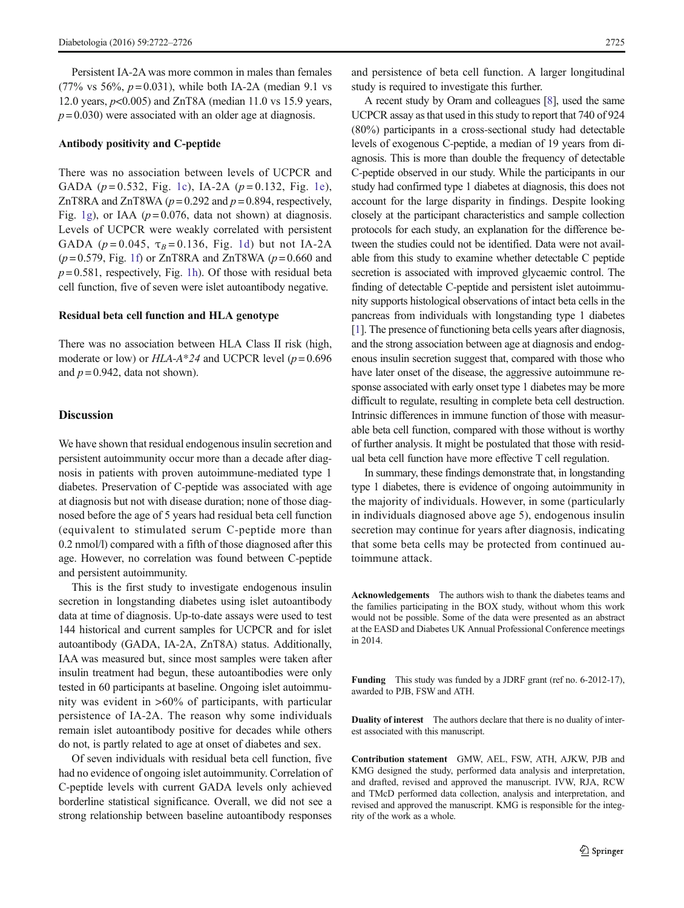Persistent IA-2A was more common in males than females (77% vs 56%,  $p = 0.031$ ), while both IA-2A (median 9.1 vs 12.0 years,  $p<0.005$ ) and ZnT8A (median 11.0 vs 15.9 years,  $p = 0.030$ ) were associated with an older age at diagnosis.

#### Antibody positivity and C-peptide

There was no association between levels of UCPCR and GADA ( $p = 0.532$ , Fig. [1c](#page-2-0)), IA-2A ( $p = 0.132$ , Fig. [1e](#page-2-0)), ZnT8RA and ZnT8WA ( $p = 0.292$  and  $p = 0.894$ , respectively, Fig. [1g](#page-2-0)), or IAA ( $p = 0.076$ , data not shown) at diagnosis. Levels of UCPCR were weakly correlated with persistent GADA ( $p = 0.045$ ,  $\tau_B = 0.136$ , Fig. [1d\)](#page-2-0) but not IA-2A  $(p=0.579,$  Fig. [1f](#page-2-0)) or ZnT8RA and ZnT8WA  $(p=0.660$  and  $p = 0.581$ , respectively, Fig. [1h](#page-2-0)). Of those with residual beta cell function, five of seven were islet autoantibody negative.

#### Residual beta cell function and HLA genotype

There was no association between HLA Class II risk (high, moderate or low) or  $HLA-A*24$  and UCPCR level ( $p=0.696$ ) and  $p = 0.942$ , data not shown).

## **Discussion**

We have shown that residual endogenous insulin secretion and persistent autoimmunity occur more than a decade after diagnosis in patients with proven autoimmune-mediated type 1 diabetes. Preservation of C-peptide was associated with age at diagnosis but not with disease duration; none of those diagnosed before the age of 5 years had residual beta cell function (equivalent to stimulated serum C-peptide more than 0.2 nmol/l) compared with a fifth of those diagnosed after this age. However, no correlation was found between C-peptide and persistent autoimmunity.

This is the first study to investigate endogenous insulin secretion in longstanding diabetes using islet autoantibody data at time of diagnosis. Up-to-date assays were used to test 144 historical and current samples for UCPCR and for islet autoantibody (GADA, IA-2A, ZnT8A) status. Additionally, IAA was measured but, since most samples were taken after insulin treatment had begun, these autoantibodies were only tested in 60 participants at baseline. Ongoing islet autoimmunity was evident in  $>60\%$  of participants, with particular persistence of IA-2A. The reason why some individuals remain islet autoantibody positive for decades while others do not, is partly related to age at onset of diabetes and sex.

Of seven individuals with residual beta cell function, five had no evidence of ongoing islet autoimmunity. Correlation of C-peptide levels with current GADA levels only achieved borderline statistical significance. Overall, we did not see a strong relationship between baseline autoantibody responses

and persistence of beta cell function. A larger longitudinal study is required to investigate this further.

A recent study by Oram and colleagues [[8](#page-4-0)], used the same UCPCR assay as that used in this study to report that 740 of 924  $(80\%)$  participants in a cross-sectional study had detectable levels of exogenous C-peptide, a median of 19 years from diagnosis. This is more than double the frequency of detectable C-peptide observed in our study. While the participants in our study had confirmed type 1 diabetes at diagnosis, this does not account for the large disparity in findings. Despite looking closely at the participant characteristics and sample collection protocols for each study, an explanation for the difference between the studies could not be identified. Data were not available from this study to examine whether detectable C peptide secretion is associated with improved glycaemic control. The finding of detectable C-peptide and persistent islet autoimmunity supports histological observations of intact beta cells in the pancreas from individuals with longstanding type 1 diabetes [\[1\]](#page-4-0). The presence of functioning beta cells years after diagnosis, and the strong association between age at diagnosis and endogenous insulin secretion suggest that, compared with those who have later onset of the disease, the aggressive autoimmune response associated with early onset type 1 diabetes may be more difficult to regulate, resulting in complete beta cell destruction. Intrinsic differences in immune function of those with measurable beta cell function, compared with those without is worthy of further analysis. It might be postulated that those with residual beta cell function have more effective T cell regulation.

In summary, these findings demonstrate that, in longstanding type 1 diabetes, there is evidence of ongoing autoimmunity in the majority of individuals. However, in some (particularly in individuals diagnosed above age 5), endogenous insulin secretion may continue for years after diagnosis, indicating that some beta cells may be protected from continued autoimmune attack.

Acknowledgements The authors wish to thank the diabetes teams and the families participating in the BOX study, without whom this work would not be possible. Some of the data were presented as an abstract at the EASD and Diabetes UK Annual Professional Conference meetings in 2014.

Funding This study was funded by a JDRF grant (ref no. 6-2012-17), awarded to PJB, FSW and ATH.

Duality of interest The authors declare that there is no duality of interest associated with this manuscript.

Contribution statement GMW, AEL, FSW, ATH, AJKW, PJB and KMG designed the study, performed data analysis and interpretation, and drafted, revised and approved the manuscript. IVW, RJA, RCW and TMcD performed data collection, analysis and interpretation, and revised and approved the manuscript. KMG is responsible for the integrity of the work as a whole.